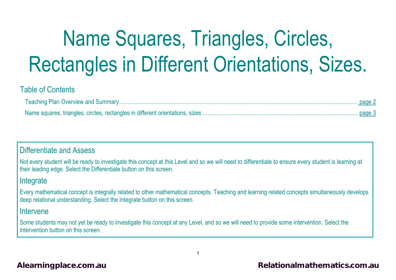# Name Squares, Triangles, Circles, Rectangles in Different Orientations, Sizes.

#### Table of Contents

#### Differentiate and Assess

Not every student will be ready to investigate this concept at this Level and so we will need to differentiate to ensure every student is learning at their leading edge. Select the Differentiate button on this screen.

#### **Integrate**

Every mathematical concept is integrally related to other mathematical concepts. Teaching and learning related concepts simultaneously develops deep relational understanding. Select the Integrate button on this screen.

#### Intervene

Some students may not yet be ready to investigate this concept at any Level, and so we will need to provide some intervention. Select the Intervention button on this screen.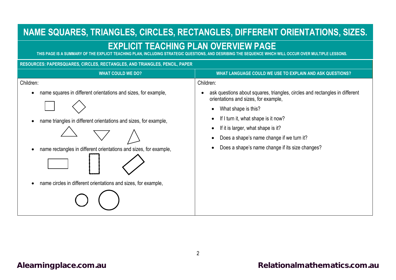#### <span id="page-1-0"></span>**NAME SQUARES, TRIANGLES, CIRCLES, RECTANGLES, DIFFERENT ORIENTATIONS, SIZES.**

#### **EXPLICIT TEACHING PLAN OVERVIEW PAGE**

**THIS PAGE IS A SUMMARY OF THE EXPLICIT TEACHING PLAN, INCLUDING STRATEGIC QUESTIONS, AND DESRIBING THE SEQUENCE WHICH WILL OCCUR OVER MULTIPLE LESSONS.**

| RESOURCES: PAPERSQUARES, CIRCLES, RECTANGLES, AND TRIANGLES, PENCIL, PAPER                                                                                                |                                                                                                                                                                                                                                      |  |
|---------------------------------------------------------------------------------------------------------------------------------------------------------------------------|--------------------------------------------------------------------------------------------------------------------------------------------------------------------------------------------------------------------------------------|--|
| <b>WHAT COULD WE DO?</b>                                                                                                                                                  | WHAT LANGUAGE COULD WE USE TO EXPLAIN AND ASK QUESTIONS?                                                                                                                                                                             |  |
| Children:<br>name squares in different orientations and sizes, for example,<br>$\bullet$<br>name triangles in different orientations and sizes, for example,<br>$\bullet$ | Children:<br>ask questions about squares, triangles, circles and rectangles in different<br>orientations and sizes, for example,<br>What shape is this?<br>If I turn it, what shape is it now?<br>If it is larger, what shape is it? |  |
| name rectangles in different orientations and sizes, for example,<br>٠<br>name circles in different orientations and sizes, for example,                                  | Does a shape's name change if we turn it?<br>Does a shape's name change if its size changes?                                                                                                                                         |  |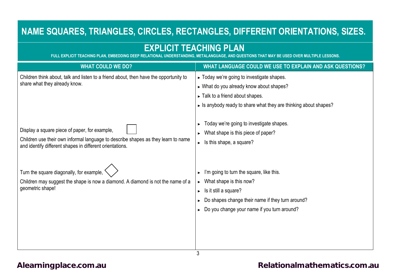### <span id="page-2-0"></span>**NAME SQUARES, TRIANGLES, CIRCLES, RECTANGLES, DIFFERENT ORIENTATIONS, SIZES.**

## **EXPLICIT TEACHING PLAN**<br>FULL EXPLICIT TEACHING PLAN. EMBEDDING DEEP RELATIONAL UNDERSTANDING. METALANGUAGE. AND QUES

**METAL ANGUAGE, AND QUESTIONS THAT MAY BE USED OVER MULTIPLE LESSONS.** 

| <b>WHAT COULD WE DO?</b>                                                                                                                                                                       | WHAT LANGUAGE COULD WE USE TO EXPLAIN AND ASK QUESTIONS?                                                                                                                                                                            |
|------------------------------------------------------------------------------------------------------------------------------------------------------------------------------------------------|-------------------------------------------------------------------------------------------------------------------------------------------------------------------------------------------------------------------------------------|
| Children think about, talk and listen to a friend about, then have the opportunity to<br>share what they already know.                                                                         | ► Today we're going to investigate shapes.<br>► What do you already know about shapes?<br>$\triangleright$ Talk to a friend about shapes.<br>► Is anybody ready to share what they are thinking about shapes?                       |
| Display a square piece of paper, for example,<br>Children use their own informal language to describe shapes as they learn to name<br>and identify different shapes in different orientations. | Today we're going to investigate shapes.<br>$\triangleright$ What shape is this piece of paper?<br>$\triangleright$ Is this shape, a square?                                                                                        |
| Turn the square diagonally, for example,<br>Children may suggest the shape is now a diamond. A diamond is not the name of a<br>geometric shape!                                                | I'm going to turn the square, like this.<br>$\triangleright$ What shape is this now?<br>$\triangleright$ Is it still a square?<br>Do shapes change their name if they turn around?<br>► Do you change your name if you turn around? |

3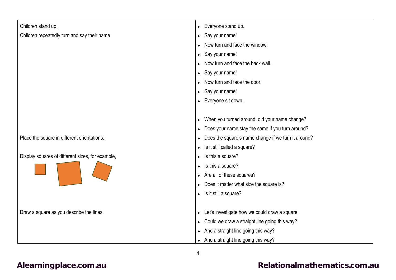| Children stand up.                               | Everyone stand up.<br>×.                                 |
|--------------------------------------------------|----------------------------------------------------------|
| Children repeatedly turn and say their name.     | $\triangleright$ Say your name!                          |
|                                                  | Now turn and face the window.                            |
|                                                  | Say your name!<br>▶                                      |
|                                                  | Now turn and face the back wall.                         |
|                                                  | $\triangleright$ Say your name!                          |
|                                                  | Now turn and face the door.                              |
|                                                  | $\triangleright$ Say your name!                          |
|                                                  | $\blacktriangleright$ Everyone sit down.                 |
|                                                  |                                                          |
|                                                  | When you turned around, did your name change?<br>▶       |
|                                                  | Does your name stay the same if you turn around?<br>▶    |
| Place the square in different orientations.      | Does the square's name change if we turn it around?<br>▶ |
|                                                  | $\triangleright$ Is it still called a square?            |
| Display squares of different sizes, for example, | Is this a square?<br>▶                                   |
|                                                  | $\triangleright$ Is this a square?                       |
|                                                  | Are all of these squares?<br>▶                           |
|                                                  | $\triangleright$ Does it matter what size the square is? |
|                                                  | $\triangleright$ Is it still a square?                   |
|                                                  |                                                          |
| Draw a square as you describe the lines.         | Let's investigate how we could draw a square.<br>▶       |
|                                                  | Could we draw a straight line going this way?<br>▶       |
|                                                  | And a straight line going this way?                      |
|                                                  | And a straight line going this way?                      |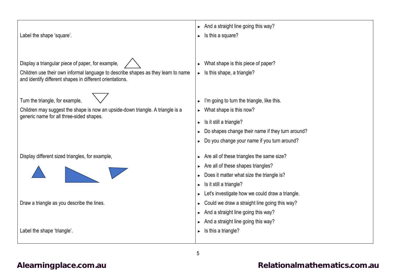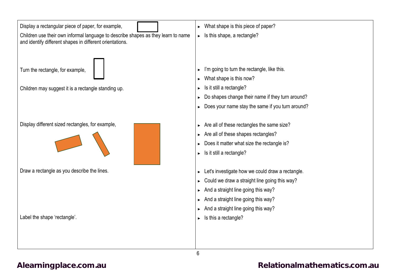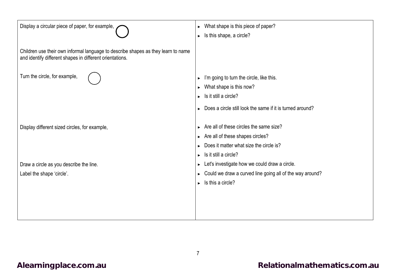| Display a circular piece of paper, for example,                                                                                               | $\triangleright$ What shape is this piece of paper?<br>$\triangleright$ Is this shape, a circle?                                                                                                             |
|-----------------------------------------------------------------------------------------------------------------------------------------------|--------------------------------------------------------------------------------------------------------------------------------------------------------------------------------------------------------------|
| Children use their own informal language to describe shapes as they learn to name<br>and identify different shapes in different orientations. |                                                                                                                                                                                                              |
| Turn the circle, for example,                                                                                                                 | I'm going to turn the circle, like this.<br>$\triangleright$ What shape is this now?<br>$\triangleright$ Is it still a circle?<br>$\triangleright$ Does a circle still look the same if it is turned around? |
| Display different sized circles, for example,                                                                                                 | $\triangleright$ Are all of these circles the same size?<br>$\triangleright$ Are all of these shapes circles?<br>Does it matter what size the circle is?<br>$\triangleright$ Is it still a circle?           |
| Draw a circle as you describe the line.<br>Label the shape 'circle'.                                                                          | Let's investigate how we could draw a circle.<br>×.<br>> Could we draw a curved line going all of the way around?<br>$\triangleright$ Is this a circle?                                                      |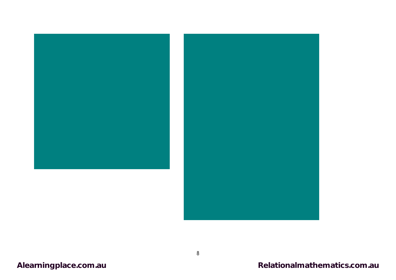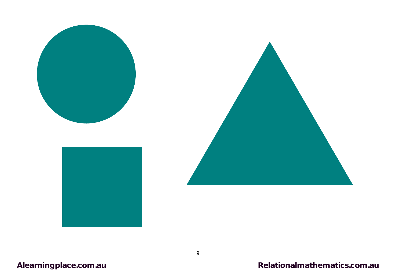